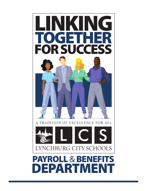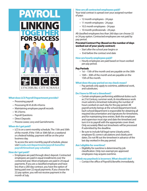

### What does LCS Payroll Department provide?

- Processing payroll
- Processing W-4's & VA-4 forms
- Maintaining employee payroll records
- W-2 forms
- Payroll Questions
- Direct Deposits
- Process Leave, Levy and Garnishments

### When do I get paid?

 • LCS is on a semi-monthly schedule. The 15th and 30th of the month. If the 15th or 30th fall on a weekend or a federal holiday, payment will be on the prior business day.

 To access the semi-monthly payroll schedule, please visit**lcsedu.net/departments/payroll-benets/ payroll/timesheet-pay-schedule**

### How do I get paid?

 • Employees are paid through direct deposit. Contracted employees are paid in equal installments over the contracted year. Most employees are paid in 24 equal payments. If you are a classified employee and have less than a 260 day contract, you have the option of being paid over 22 equal payments. If you choose the 22 pay option, you will not receive payment in the month of July.

### How are all contracted employees paid?

Your total contract is spread over your assigned number of pays:

- 12 month employees 24 pays
- 11 month employees 24 pays
- 10.5 month employees 24 pays
- 10 month professionals 24 pays

All classified employees less than 260 days can choose 22 or 24 pay option. Contracted employees are not paid by pay period.

### Prorated Contract Pay (Based on the number of days worked out of your yearly contract)

- Start after the school year begins or
- End before the contract end date

### How are hourly employees paid?

 • Hourly employees are paid based on hours worked per pay period.

### Pay Periods

- 1st 15th of the month and are payable on the 30th
- 16th 30th of the month and are payable on the 15th of the month.

#### What does the pay period on my check mean?

 • Pay periods only apply to overtime, additional work, and substitutes.

### Do I have to fill out a timesheet?

- Certain employees performing additional duties such as 21st Century, summer work, & miscellaneous work must submit a timesheet indicating the number of hours worked on each day for the pay period. All payroll activity beings at the school/department level. Each school/department is responsible for obtaining all required documentation and signatures for timesheets, and for maintaining time entries. Both the employee and supervisor must sign and date the timesheet and turn it in to payroll with the appropriate cover sheet. Only accurately filled out timesheets will be processed if submitted by the deadline.
- Be sure to include full legal name (clearly print), employee ID, correct calculations and clearly print dates. Do not fill out the timesheet in advance of the last day worked in the pay period.

### Am I eligible for overtime?

 • Eligibility for overtime is determined by job classification. Only non-exempt pre-approved employees may acquire overtime.

### I think my paycheck is incorrect. What should I do?

• Contact the office of Payroll & Benefits immediately.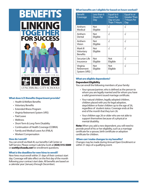

# What does LCS Benefits Department provide?

- Health & Welfare Benefits
- Voluntary Benefits
- Extended Illness Program
- Virginia Retirement System (VRS)
- Paid Leave
- Wellness
- Short-Term & Long-Term Disability
- Continuation of Health Coverage (COBRA)
- Family and Medical Leave Act (FMLA)
- Workers' Compensation

#### How do I enroll?

You can enroll via Mark III, our benefits Call Center or Self-Service. Please contact Lakrisha Scott at (434) 515-5089 or **scottly@lcsedu.net** for enrollment questions.

### What is the deadline for new hires to enroll?

New hires must enroll within 31 days of their contract start day. Coverage will take effect on the first day of the month following your contract start date. All benefits are based on a calendar year (January through December).

### What benefits am I eligible for based on hours worked?

| <b>Benefit</b><br>Coverage               | Less than 6<br><b>Hours Per</b><br>Day | Equal to 6<br><b>Hours Per</b><br>Day or Less<br>Than 7 Hours | Equal to or<br><b>Greater Than</b><br><b>7 Hours Per</b><br>Day |
|------------------------------------------|----------------------------------------|---------------------------------------------------------------|-----------------------------------------------------------------|
| Anthem<br><b>Medical</b>                 | Not<br>Eligible                        | √                                                             | ٦Ì                                                              |
| Anthem<br>Dental                         | Not<br>Eligible                        | $\sqrt{}$                                                     | $\sqrt{ }$                                                      |
| Anthem<br>Vision                         | Not<br>Eligible                        | $\sqrt{ }$                                                    | J.                                                              |
| Mark III<br>Voluntary<br><b>Benefits</b> | Not<br>Eligible                        | $\sqrt{}$                                                     | $\sqrt{ }$                                                      |
| Securian Life<br>Insurance               | Not<br>Eligible                        | Not<br>Eligible                                               | $\sqrt{ }$                                                      |
| Virginia<br>Retirement<br>System (VRS)   | Not<br>Eligible                        | Not<br>Eligible                                               | $\sqrt{ }$                                                      |

## What are eligible dependents?

#### Dependent Eligibility

You can enroll the following members of your family:

- Your spouse/partner, who is defined as the person to whom you are legally married and for whom you have a valid government issued marriage certificate.
- Your natural children, legally adopted children, children placed with you for legal adoption, stepchildren or foster children up to the age of 26, regardless of student status. Coverage ends at the end of the month that they turn 26.
- Your children age 26 or older who are not able to support themselves because of a physical or mental disability.

Note: When you add a new dependent, you will need to provide proof of his or her eligibility, such as a marriage certificate for a spouse, birth certificate or adoption certificate for children.

#### When can I make changes to my benefits?

Changes may be made during Annual Open Enrollment or within 31 days of a qualifying event.